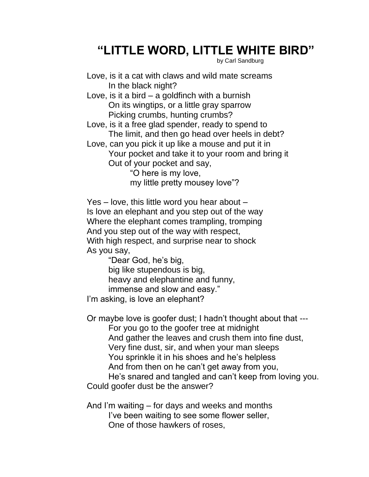## **"LITTLE WORD, LITTLE WHITE BIRD"**

by Carl Sandburg

- Love, is it a cat with claws and wild mate screams In the black night?
- Love, is it a bird a goldfinch with a burnish On its wingtips, or a little gray sparrow Picking crumbs, hunting crumbs?
- Love, is it a free glad spender, ready to spend to The limit, and then go head over heels in debt?
- Love, can you pick it up like a mouse and put it in Your pocket and take it to your room and bring it Out of your pocket and say,
	- "O here is my love, my little pretty mousey love"?

Yes – love, this little word you hear about – Is love an elephant and you step out of the way Where the elephant comes trampling, tromping And you step out of the way with respect, With high respect, and surprise near to shock As you say,

"Dear God, he's big,

big like stupendous is big, heavy and elephantine and funny,

immense and slow and easy."

I'm asking, is love an elephant?

Or maybe love is goofer dust; I hadn't thought about that --- For you go to the goofer tree at midnight And gather the leaves and crush them into fine dust, Very fine dust, sir, and when your man sleeps You sprinkle it in his shoes and he's helpless And from then on he can't get away from you, He's snared and tangled and can't keep from loving you.

Could goofer dust be the answer?

And I'm waiting – for days and weeks and months I've been waiting to see some flower seller, One of those hawkers of roses,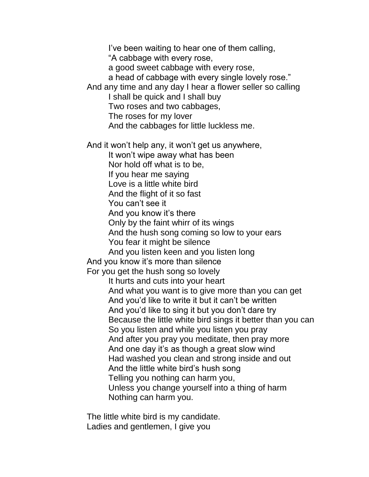I've been waiting to hear one of them calling, "A cabbage with every rose, a good sweet cabbage with every rose, a head of cabbage with every single lovely rose." And any time and any day I hear a flower seller so calling I shall be quick and I shall buy Two roses and two cabbages, The roses for my lover And the cabbages for little luckless me. And it won't help any, it won't get us anywhere, It won't wipe away what has been Nor hold off what is to be, If you hear me saying Love is a little white bird And the flight of it so fast You can't see it And you know it's there Only by the faint whirr of its wings And the hush song coming so low to your ears You fear it might be silence And you listen keen and you listen long And you know it's more than silence For you get the hush song so lovely It hurts and cuts into your heart And what you want is to give more than you can get And you'd like to write it but it can't be written And you'd like to sing it but you don't dare try Because the little white bird sings it better than you can So you listen and while you listen you pray And after you pray you meditate, then pray more And one day it's as though a great slow wind Had washed you clean and strong inside and out And the little white bird's hush song Telling you nothing can harm you, Unless you change yourself into a thing of harm

Nothing can harm you.

The little white bird is my candidate. Ladies and gentlemen, I give you